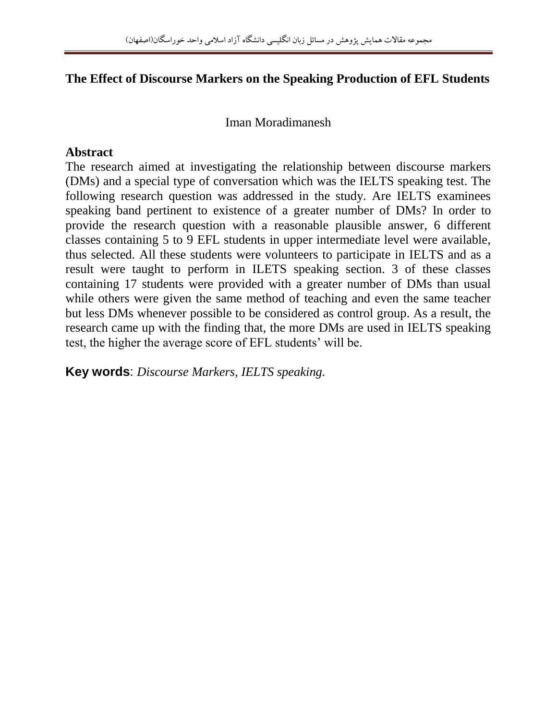## **The Effect of Discourse Markers on the Speaking Production of EFL Students**

Iman Moradimanesh

#### **Abstract**

The research aimed at investigating the relationship between discourse markers (DMs) and a special type of conversation which was the IELTS speaking test. The following research question was addressed in the study. Are IELTS examinees speaking band pertinent to existence of a greater number of DMs? In order to provide the research question with a reasonable plausible answer, 6 different classes containing 5 to 9 EFL students in upper intermediate level were available, thus selected. All these students were volunteers to participate in IELTS and as a result were taught to perform in ILETS speaking section. 3 of these classes containing 17 students were provided with a greater number of DMs than usual while others were given the same method of teaching and even the same teacher but less DMs whenever possible to be considered as control group. As a result, the research came up with the finding that, the more DMs are used in IELTS speaking test, the higher the average score of EFL students' will be.

**Key words**: *Discourse Markers, IELTS speaking.*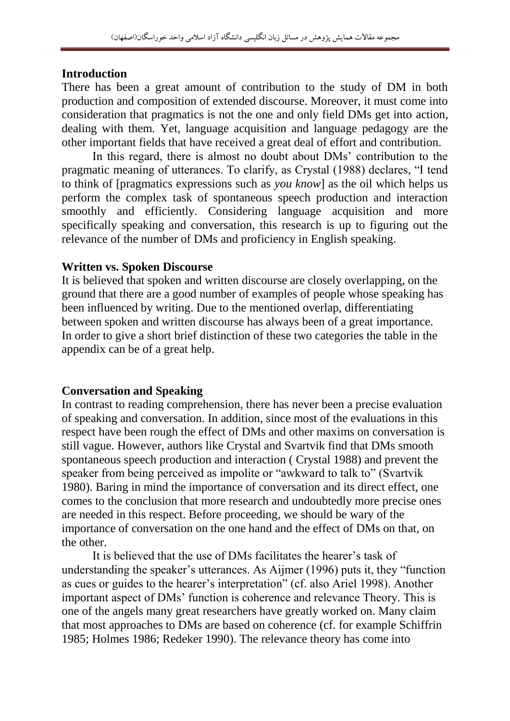#### **Introduction**

There has been a great amount of contribution to the study of DM in both production and composition of extended discourse. Moreover, it must come into consideration that pragmatics is not the one and only field DMs get into action, dealing with them. Yet, language acquisition and language pedagogy are the other important fields that have received a great deal of effort and contribution.

In this regard, there is almost no doubt about DMs' contribution to the pragmatic meaning of utterances. To clarify, as Crystal (1988) declares, "I tend to think of [pragmatics expressions such as *you know*] as the oil which helps us perform the complex task of spontaneous speech production and interaction smoothly and efficiently. Considering language acquisition and more specifically speaking and conversation, this research is up to figuring out the relevance of the number of DMs and proficiency in English speaking.

#### **Written vs. Spoken Discourse**

It is believed that spoken and written discourse are closely overlapping, on the ground that there are a good number of examples of people whose speaking has been influenced by writing. Due to the mentioned overlap, differentiating between spoken and written discourse has always been of a great importance. In order to give a short brief distinction of these two categories the table in the appendix can be of a great help.

## **Conversation and Speaking**

In contrast to reading comprehension, there has never been a precise evaluation of speaking and conversation. In addition, since most of the evaluations in this respect have been rough the effect of DMs and other maxims on conversation is still vague. However, authors like Crystal and Svartvik find that DMs smooth spontaneous speech production and interaction ( Crystal 1988) and prevent the speaker from being perceived as impolite or "awkward to talk to" (Svartvik 1980). Baring in mind the importance of conversation and its direct effect, one comes to the conclusion that more research and undoubtedly more precise ones are needed in this respect. Before proceeding, we should be wary of the importance of conversation on the one hand and the effect of DMs on that, on the other.

It is believed that the use of DMs facilitates the hearer's task of understanding the speaker's utterances. As Aijmer (1996) puts it, they "function as cues or guides to the hearer's interpretation" (cf. also Ariel 1998). Another important aspect of DMs' function is coherence and relevance Theory. This is one of the angels many great researchers have greatly worked on. Many claim that most approaches to DMs are based on coherence (cf. for example Schiffrin 1985; Holmes 1986; Redeker 1990). The relevance theory has come into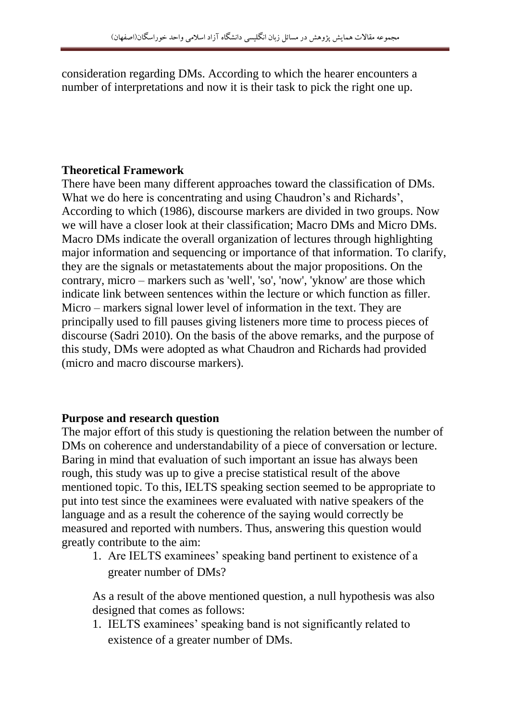consideration regarding DMs. According to which the hearer encounters a number of interpretations and now it is their task to pick the right one up.

# **Theoretical Framework**

There have been many different approaches toward the classification of DMs. What we do here is concentrating and using Chaudron's and Richards', According to which (1986), discourse markers are divided in two groups. Now we will have a closer look at their classification; Macro DMs and Micro DMs. Macro DMs indicate the overall organization of lectures through highlighting major information and sequencing or importance of that information. To clarify, they are the signals or metastatements about the major propositions. On the contrary, micro – markers such as 'well', 'so', 'now', 'yknow' are those which indicate link between sentences within the lecture or which function as filler. Micro – markers signal lower level of information in the text. They are principally used to fill pauses giving listeners more time to process pieces of discourse (Sadri 2010). On the basis of the above remarks, and the purpose of this study, DMs were adopted as what Chaudron and Richards had provided (micro and macro discourse markers).

## **Purpose and research question**

The major effort of this study is questioning the relation between the number of DMs on coherence and understandability of a piece of conversation or lecture. Baring in mind that evaluation of such important an issue has always been rough, this study was up to give a precise statistical result of the above mentioned topic. To this, IELTS speaking section seemed to be appropriate to put into test since the examinees were evaluated with native speakers of the language and as a result the coherence of the saying would correctly be measured and reported with numbers. Thus, answering this question would greatly contribute to the aim:

1. Are IELTS examinees' speaking band pertinent to existence of a greater number of DMs?

As a result of the above mentioned question, a null hypothesis was also designed that comes as follows:

1. IELTS examinees' speaking band is not significantly related to existence of a greater number of DMs.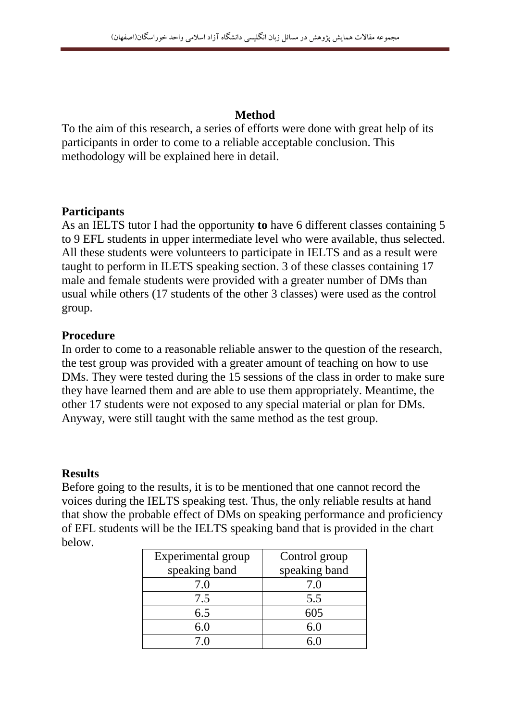# **Method**

To the aim of this research, a series of efforts were done with great help of its participants in order to come to a reliable acceptable conclusion. This methodology will be explained here in detail.

## **Participants**

As an IELTS tutor I had the opportunity **to** have 6 different classes containing 5 to 9 EFL students in upper intermediate level who were available, thus selected. All these students were volunteers to participate in IELTS and as a result were taught to perform in ILETS speaking section. 3 of these classes containing 17 male and female students were provided with a greater number of DMs than usual while others (17 students of the other 3 classes) were used as the control group.

## **Procedure**

In order to come to a reasonable reliable answer to the question of the research, the test group was provided with a greater amount of teaching on how to use DMs. They were tested during the 15 sessions of the class in order to make sure they have learned them and are able to use them appropriately. Meantime, the other 17 students were not exposed to any special material or plan for DMs. Anyway, were still taught with the same method as the test group.

## **Results**

Before going to the results, it is to be mentioned that one cannot record the voices during the IELTS speaking test. Thus, the only reliable results at hand that show the probable effect of DMs on speaking performance and proficiency of EFL students will be the IELTS speaking band that is provided in the chart below.

| Experimental group | Control group |
|--------------------|---------------|
| speaking band      | speaking band |
| 7.0                | 7.0           |
| 7.5                | 5.5           |
| 6.5                | 605           |
| 6.0                | 6.0           |
| 7 በ                |               |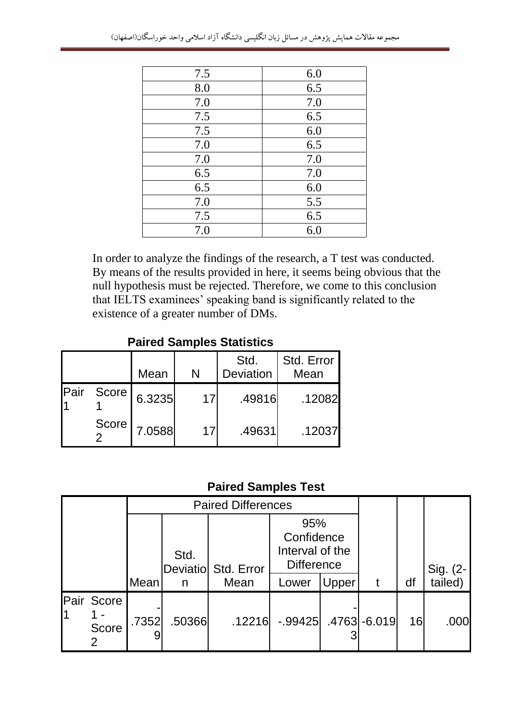| 7.5 | 6.0 |
|-----|-----|
| 8.0 | 6.5 |
| 7.0 | 7.0 |
| 7.5 | 6.5 |
| 7.5 | 6.0 |
| 7.0 | 6.5 |
| 7.0 | 7.0 |
| 6.5 | 7.0 |
| 6.5 | 6.0 |
| 7.0 | 5.5 |
| 7.5 | 6.5 |
| 7.0 | 6.0 |

In order to analyze the findings of the research, a T test was conducted. By means of the results provided in here, it seems being obvious that the null hypothesis must be rejected. Therefore, we come to this conclusion that IELTS examinees' speaking band is significantly related to the existence of a greater number of DMs.

## **Paired Samples Statistics**

|      |       | Mean   | N  | Std.<br><b>Deviation</b> | Std. Error<br>Mean |
|------|-------|--------|----|--------------------------|--------------------|
| Pair | Score | 6.3235 | 17 | .49816                   | .12082             |
|      | Score | 7.0588 | 17 | .49631                   | .12037             |

# **Paired Samples Test**

|                            | <b>Paired Differences</b> |        |                     |                                                           |       |    |                     |
|----------------------------|---------------------------|--------|---------------------|-----------------------------------------------------------|-------|----|---------------------|
|                            |                           | Std.   | Deviatio Std. Error | 95%<br>Confidence<br>Interval of the<br><b>Difference</b> |       |    |                     |
|                            | Mean                      | n      | Mean                | Lower                                                     | Upper | df | Sig. (2-<br>tailed) |
| Pair Score<br><b>Score</b> | .7352                     | .50366 | .12216              | -.99425 .4763 -6.019                                      |       | 16 | .000                |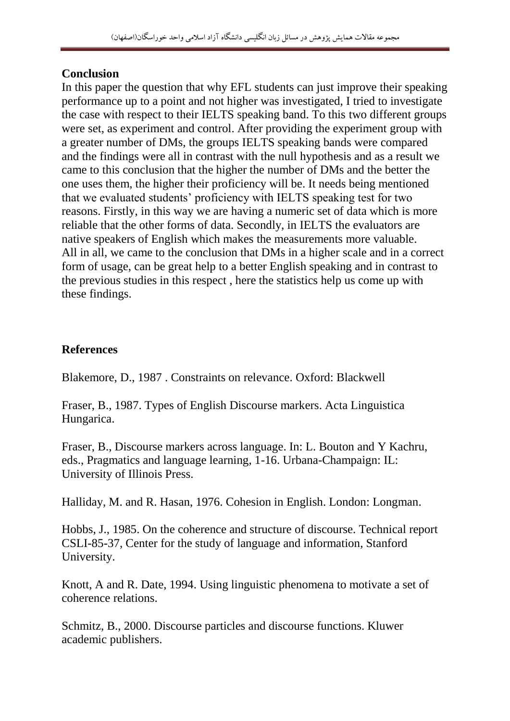## **Conclusion**

In this paper the question that why EFL students can just improve their speaking performance up to a point and not higher was investigated, I tried to investigate the case with respect to their IELTS speaking band. To this two different groups were set, as experiment and control. After providing the experiment group with a greater number of DMs, the groups IELTS speaking bands were compared and the findings were all in contrast with the null hypothesis and as a result we came to this conclusion that the higher the number of DMs and the better the one uses them, the higher their proficiency will be. It needs being mentioned that we evaluated students' proficiency with IELTS speaking test for two reasons. Firstly, in this way we are having a numeric set of data which is more reliable that the other forms of data. Secondly, in IELTS the evaluators are native speakers of English which makes the measurements more valuable. All in all, we came to the conclusion that DMs in a higher scale and in a correct form of usage, can be great help to a better English speaking and in contrast to the previous studies in this respect , here the statistics help us come up with these findings.

# **References**

Blakemore, D., 1987 . Constraints on relevance. Oxford: Blackwell

Fraser, B., 1987. Types of English Discourse markers. Acta Linguistica Hungarica.

Fraser, B., Discourse markers across language. In: L. Bouton and Y Kachru, eds., Pragmatics and language learning, 1-16. Urbana-Champaign: IL: University of Illinois Press.

Halliday, M. and R. Hasan, 1976. Cohesion in English. London: Longman.

Hobbs, J., 1985. On the coherence and structure of discourse. Technical report CSLI-85-37, Center for the study of language and information, Stanford University.

Knott, A and R. Date, 1994. Using linguistic phenomena to motivate a set of coherence relations.

Schmitz, B., 2000. Discourse particles and discourse functions. Kluwer academic publishers.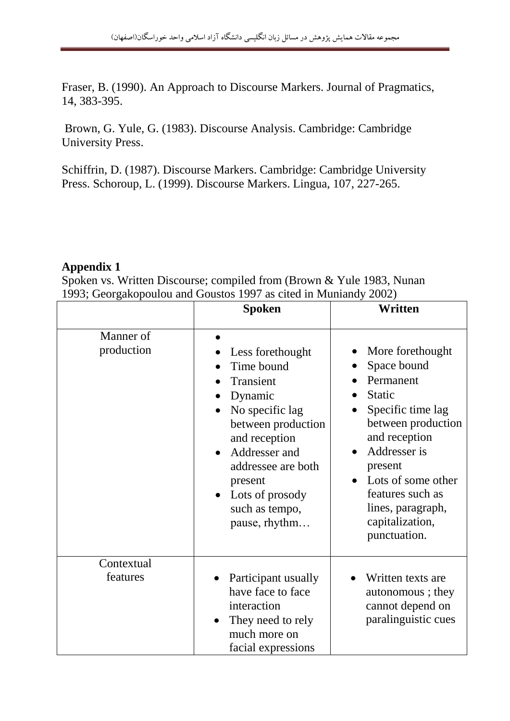Fraser, B. (1990). An Approach to Discourse Markers. Journal of Pragmatics, 14, 383-395.

Brown, G. Yule, G. (1983). Discourse Analysis. Cambridge: Cambridge University Press.

Schiffrin, D. (1987). Discourse Markers. Cambridge: Cambridge University Press. Schoroup, L. (1999). Discourse Markers. Lingua, 107, 227-265.

## **Appendix 1**

Spoken vs. Written Discourse; compiled from (Brown & Yule 1983, Nunan 1993; Georgakopoulou and Goustos 1997 as cited in Muniandy 2002)

|                         | <b>Spoken</b>                                                                                                                                                                                                            | Written                                                                                                                                                                                                                                         |
|-------------------------|--------------------------------------------------------------------------------------------------------------------------------------------------------------------------------------------------------------------------|-------------------------------------------------------------------------------------------------------------------------------------------------------------------------------------------------------------------------------------------------|
| Manner of<br>production | Less forethought<br>Time bound<br>Transient<br>Dynamic<br>No specific lag<br>between production<br>and reception<br>Addresser and<br>addressee are both<br>present<br>Lots of prosody<br>such as tempo,<br>pause, rhythm | More forethought<br>Space bound<br>Permanent<br>Static<br>Specific time lag<br>between production<br>and reception<br>Addresser is<br>present<br>Lots of some other<br>features such as<br>lines, paragraph,<br>capitalization,<br>punctuation. |
| Contextual<br>features  | Participant usually<br>have face to face<br>interaction<br>They need to rely<br>much more on<br>facial expressions                                                                                                       | Written texts are<br>autonomous; they<br>cannot depend on<br>paralinguistic cues                                                                                                                                                                |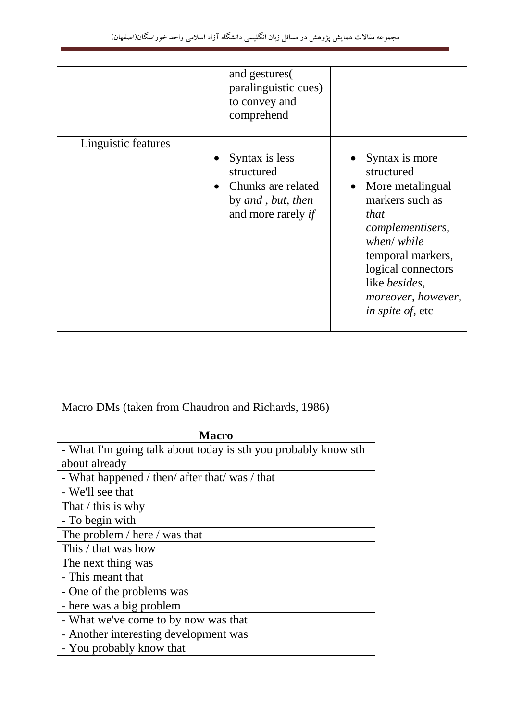|                     | and gestures<br>paralinguistic cues)<br>to convey and<br>comprehend                             |                                                                                                                                                                                                                                                         |
|---------------------|-------------------------------------------------------------------------------------------------|---------------------------------------------------------------------------------------------------------------------------------------------------------------------------------------------------------------------------------------------------------|
| Linguistic features | • Syntax is less<br>structured<br>Chunks are related<br>by and, but, then<br>and more rarely if | Syntax is more<br>structured<br>More metalingual<br>$\bullet$<br>markers such as<br>that<br>complementisers,<br>when/ while<br>temporal markers,<br>logical connectors<br>like <i>besides</i> ,<br><i>moreover, however,</i><br><i>in spite of, etc</i> |

Macro DMs (taken from Chaudron and Richards, 1986)

| <b>Macro</b>                                                   |  |  |  |  |
|----------------------------------------------------------------|--|--|--|--|
| - What I'm going talk about today is sth you probably know sth |  |  |  |  |
| about already                                                  |  |  |  |  |
| - What happened / then/ after that/ was / that                 |  |  |  |  |
| - We'll see that                                               |  |  |  |  |
| That $\ell$ this is why                                        |  |  |  |  |
| - To begin with                                                |  |  |  |  |
| The problem / here / was that                                  |  |  |  |  |
| This / that was how                                            |  |  |  |  |
| The next thing was                                             |  |  |  |  |
| - This meant that                                              |  |  |  |  |
| - One of the problems was                                      |  |  |  |  |
| - here was a big problem                                       |  |  |  |  |
| - What we've come to by now was that                           |  |  |  |  |
| - Another interesting development was                          |  |  |  |  |
| - You probably know that                                       |  |  |  |  |